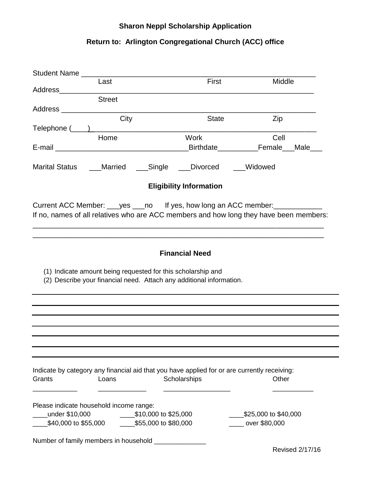## **Sharon Neppl Scholarship Application**

## **Return to: Arlington Congregational Church (ACC) office**

|                                        | Last                                                 | First                                                                                        | Middle                                                                                 |
|----------------------------------------|------------------------------------------------------|----------------------------------------------------------------------------------------------|----------------------------------------------------------------------------------------|
| Address                                |                                                      | <u> 1989 - Johann Barbara, martxa alemaniar amerikan basar da a</u>                          |                                                                                        |
|                                        | <b>Street</b>                                        |                                                                                              |                                                                                        |
|                                        | City                                                 |                                                                                              |                                                                                        |
|                                        |                                                      | <b>State</b>                                                                                 | Zip                                                                                    |
|                                        | Home                                                 | Work                                                                                         | Cell                                                                                   |
|                                        |                                                      |                                                                                              | Birthdate Female Male                                                                  |
|                                        |                                                      |                                                                                              |                                                                                        |
|                                        |                                                      | Marital Status ____Married ____Single ____Divorced ____Widowed                               |                                                                                        |
|                                        |                                                      | <b>Eligibility Information</b>                                                               |                                                                                        |
|                                        |                                                      | Current ACC Member: ____ yes ____ no lf yes, how long an ACC member: ___________             |                                                                                        |
|                                        |                                                      |                                                                                              | If no, names of all relatives who are ACC members and how long they have been members: |
|                                        |                                                      |                                                                                              |                                                                                        |
|                                        |                                                      |                                                                                              |                                                                                        |
|                                        |                                                      |                                                                                              |                                                                                        |
|                                        |                                                      | <b>Financial Need</b>                                                                        |                                                                                        |
|                                        |                                                      |                                                                                              |                                                                                        |
|                                        |                                                      | (1) Indicate amount being requested for this scholarship and                                 |                                                                                        |
|                                        |                                                      | (2) Describe your financial need. Attach any additional information.                         |                                                                                        |
|                                        |                                                      |                                                                                              |                                                                                        |
|                                        |                                                      |                                                                                              |                                                                                        |
|                                        |                                                      |                                                                                              |                                                                                        |
|                                        |                                                      |                                                                                              |                                                                                        |
|                                        |                                                      |                                                                                              |                                                                                        |
|                                        |                                                      |                                                                                              |                                                                                        |
|                                        |                                                      |                                                                                              |                                                                                        |
|                                        |                                                      |                                                                                              |                                                                                        |
|                                        |                                                      | Indicate by category any financial aid that you have applied for or are currently receiving: |                                                                                        |
| Grants                                 | Loans                                                | Scholarships                                                                                 | Other                                                                                  |
|                                        |                                                      |                                                                                              |                                                                                        |
|                                        |                                                      |                                                                                              |                                                                                        |
|                                        | Please indicate household income range:              |                                                                                              |                                                                                        |
| under \$10,000<br>\$40,000 to \$55,000 |                                                      | $\_\_\_\$ \$10,000 to \$25,000<br>$\frac{\$55,000 \text{ to } $80,000}$                      | $\frac{\$25,000 \text{ to } $40,000}$<br>over \$80,000                                 |
|                                        |                                                      |                                                                                              |                                                                                        |
|                                        | Number of family members in household ______________ |                                                                                              |                                                                                        |
|                                        |                                                      |                                                                                              | Revised 2/17/16                                                                        |